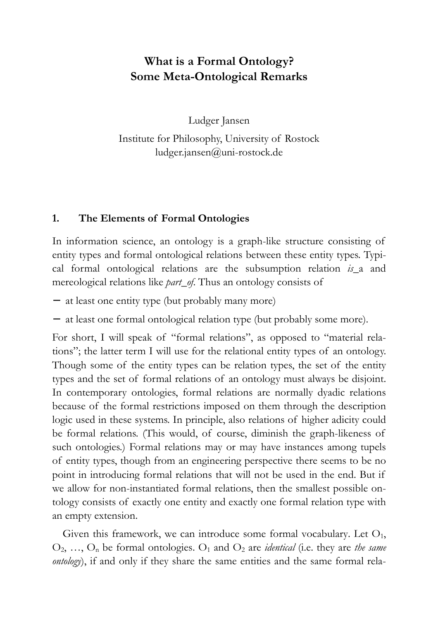# **What is a Formal Ontology? Some Meta-Ontological Remarks**

Ludger Jansen

Institute for Philosophy, University of Rostock ludger.jansen@uni-rostock.de

## **1. The Elements of Formal Ontologies**

In information science, an ontology is a graph-like structure consisting of entity types and formal ontological relations between these entity types. Typical formal ontological relations are the subsumption relation *is\_*a and mereological relations like *part\_of*. Thus an ontology consists of

- − at least one entity type (but probably many more)
- − at least one formal ontological relation type (but probably some more).

For short, I will speak of "formal relations", as opposed to "material relations"; the latter term I will use for the relational entity types of an ontology. Though some of the entity types can be relation types, the set of the entity types and the set of formal relations of an ontology must always be disjoint. In contemporary ontologies, formal relations are normally dyadic relations because of the formal restrictions imposed on them through the description logic used in these systems. In principle, also relations of higher adicity could be formal relations. (This would, of course, diminish the graph-likeness of such ontologies.) Formal relations may or may have instances among tupels of entity types, though from an engineering perspective there seems to be no point in introducing formal relations that will not be used in the end. But if we allow for non-instantiated formal relations, then the smallest possible ontology consists of exactly one entity and exactly one formal relation type with an empty extension.

Given this framework, we can introduce some formal vocabulary. Let  $O_1$ ,  $O_2, \ldots, O_n$  be formal ontologies.  $O_1$  and  $O_2$  are *identical* (i.e. they are *the same ontology*), if and only if they share the same entities and the same formal rela-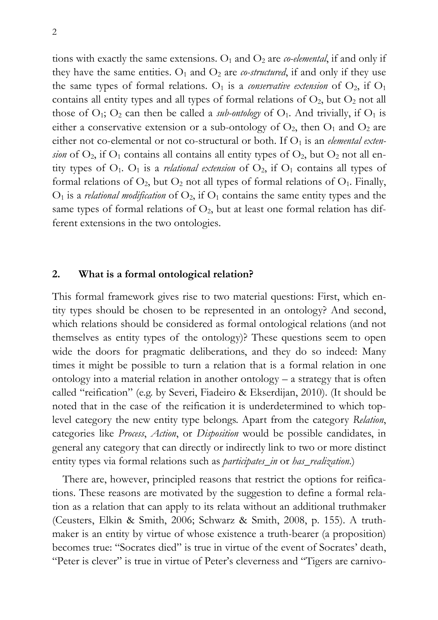tions with exactly the same extensions.  $O_1$  and  $O_2$  are *co-elemental*, if and only if they have the same entities.  $O_1$  and  $O_2$  are *co-structured*, if and only if they use the same types of formal relations.  $O_1$  is a *conservative extension* of  $O_2$ , if  $O_1$ contains all entity types and all types of formal relations of  $O_2$ , but  $O_2$  not all those of  $O_1$ ;  $O_2$  can then be called a *sub-ontology* of  $O_1$ . And trivially, if  $O_1$  is either a conservative extension or a sub-ontology of  $O_2$ , then  $O_1$  and  $O_2$  are either not co-elemental or not co-structural or both. If O<sub>1</sub> is an *elemental extension* of  $O_2$ , if  $O_1$  contains all contains all entity types of  $O_2$ , but  $O_2$  not all entity types of  $O_1$ .  $O_1$  is a *relational extension* of  $O_2$ , if  $O_1$  contains all types of formal relations of  $O_2$ , but  $O_2$  not all types of formal relations of  $O_1$ . Finally,  $O_1$  is a *relational modification* of  $O_2$ , if  $O_1$  contains the same entity types and the same types of formal relations of  $O_2$ , but at least one formal relation has different extensions in the two ontologies.

#### **2. What is a formal ontological relation?**

This formal framework gives rise to two material questions: First, which entity types should be chosen to be represented in an ontology? And second, which relations should be considered as formal ontological relations (and not themselves as entity types of the ontology)? These questions seem to open wide the doors for pragmatic deliberations, and they do so indeed: Many times it might be possible to turn a relation that is a formal relation in one ontology into a material relation in another ontology – a strategy that is often called "reification" (e.g. by Severi, Fiadeiro & Ekserdijan, 2010). (It should be noted that in the case of the reification it is underdetermined to which toplevel category the new entity type belongs. Apart from the category *Relation*, categories like *Process*, *Action*, or *Disposition* would be possible candidates, in general any category that can directly or indirectly link to two or more distinct entity types via formal relations such as *participates\_in* or *has\_realization*.)

There are, however, principled reasons that restrict the options for reifications. These reasons are motivated by the suggestion to define a formal relation as a relation that can apply to its relata without an additional truthmaker (Ceusters, Elkin & Smith, 2006; Schwarz & Smith, 2008, p. 155). A truthmaker is an entity by virtue of whose existence a truth-bearer (a proposition) becomes true: "Socrates died" is true in virtue of the event of Socrates' death, "Peter is clever" is true in virtue of Peter's cleverness and "Tigers are carnivo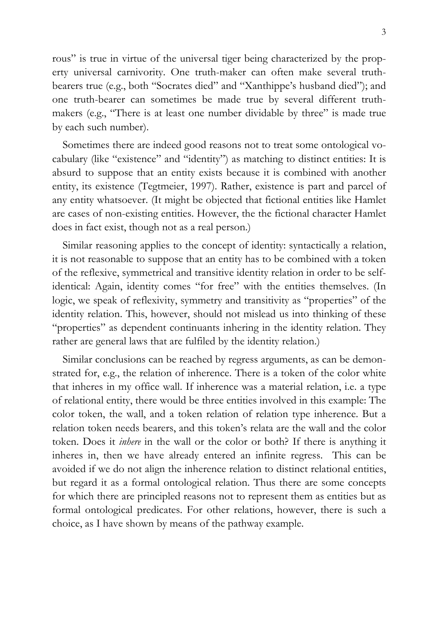rous" is true in virtue of the universal tiger being characterized by the property universal carnivority. One truth-maker can often make several truthbearers true (e.g., both "Socrates died" and "Xanthippe's husband died"); and one truth-bearer can sometimes be made true by several different truthmakers (e.g., "There is at least one number dividable by three" is made true by each such number).

Sometimes there are indeed good reasons not to treat some ontological vocabulary (like "existence" and "identity") as matching to distinct entities: It is absurd to suppose that an entity exists because it is combined with another entity, its existence (Tegtmeier, 1997). Rather, existence is part and parcel of any entity whatsoever. (It might be objected that fictional entities like Hamlet are cases of non-existing entities. However, the the fictional character Hamlet does in fact exist, though not as a real person.)

Similar reasoning applies to the concept of identity: syntactically a relation, it is not reasonable to suppose that an entity has to be combined with a token of the reflexive, symmetrical and transitive identity relation in order to be selfidentical: Again, identity comes "for free" with the entities themselves. (In logic, we speak of reflexivity, symmetry and transitivity as "properties" of the identity relation. This, however, should not mislead us into thinking of these "properties" as dependent continuants inhering in the identity relation. They rather are general laws that are fulfiled by the identity relation.)

Similar conclusions can be reached by regress arguments, as can be demonstrated for, e.g., the relation of inherence. There is a token of the color white that inheres in my office wall. If inherence was a material relation, i.e. a type of relational entity, there would be three entities involved in this example: The color token, the wall, and a token relation of relation type inherence. But a relation token needs bearers, and this token's relata are the wall and the color token. Does it *inhere* in the wall or the color or both? If there is anything it inheres in, then we have already entered an infinite regress. This can be avoided if we do not align the inherence relation to distinct relational entities, but regard it as a formal ontological relation. Thus there are some concepts for which there are principled reasons not to represent them as entities but as formal ontological predicates. For other relations, however, there is such a choice, as I have shown by means of the pathway example.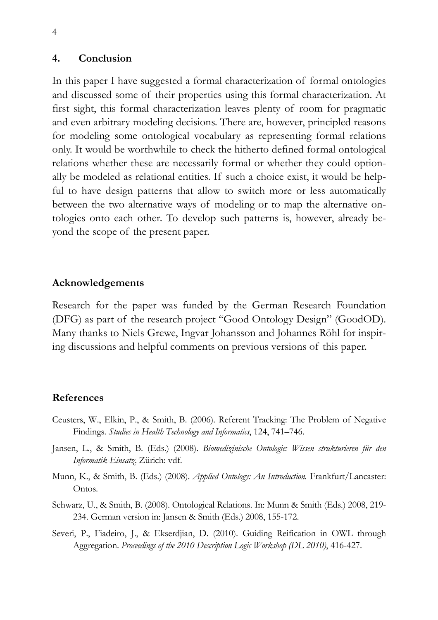#### **4. Conclusion**

In this paper I have suggested a formal characterization of formal ontologies and discussed some of their properties using this formal characterization. At first sight, this formal characterization leaves plenty of room for pragmatic and even arbitrary modeling decisions. There are, however, principled reasons for modeling some ontological vocabulary as representing formal relations only. It would be worthwhile to check the hitherto defined formal ontological relations whether these are necessarily formal or whether they could optionally be modeled as relational entities. If such a choice exist, it would be helpful to have design patterns that allow to switch more or less automatically between the two alternative ways of modeling or to map the alternative ontologies onto each other. To develop such patterns is, however, already beyond the scope of the present paper.

#### **Acknowledgements**

Research for the paper was funded by the German Research Foundation (DFG) as part of the research project "Good Ontology Design" (GoodOD). Many thanks to Niels Grewe, Ingvar Johansson and Johannes Röhl for inspiring discussions and helpful comments on previous versions of this paper.

### **References**

- Ceusters, W., Elkin, P., & Smith, B. (2006). Referent Tracking: The Problem of Negative Findings. *Studies in Health Technology and Informatics*, 124, 741–746.
- Jansen, L., & Smith, B. (Eds.) (2008). *Biomedizinische Ontologie: Wissen strukturieren für den Informatik-Einsatz*. Zürich: vdf.
- Munn, K., & Smith, B. (Eds.) (2008). *Applied Ontology: An Introduction.* Frankfurt/Lancaster: Ontos.
- Schwarz, U., & Smith, B. (2008). Ontological Relations. In: Munn & Smith (Eds.) 2008, 219- 234. German version in: Jansen & Smith (Eds.) 2008, 155-172.
- Severi, P., Fiadeiro, J., & Ekserdjian, D. (2010). Guiding Reification in OWL through Aggregation. *Proceedings of the 2010 Description Logic Workshop (DL 2010)*, 416-427.